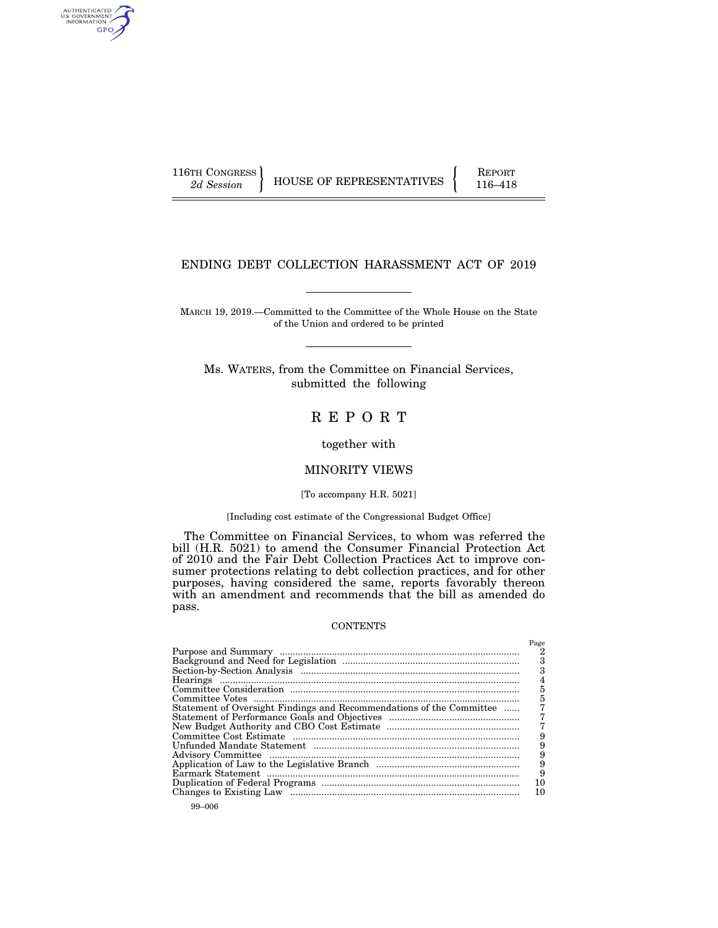AUTHENTICATED<br>U.S. GOVERNMENT<br>INFORMATION GPO

116TH CONGRESS HOUSE OF REPRESENTATIVES FEPORT 116–418

# ENDING DEBT COLLECTION HARASSMENT ACT OF 2019

MARCH 19, 2019.—Committed to the Committee of the Whole House on the State of the Union and ordered to be printed

Ms. WATERS, from the Committee on Financial Services, submitted the following

# R E P O R T

together with

## MINORITY VIEWS

## [To accompany H.R. 5021]

## [Including cost estimate of the Congressional Budget Office]

The Committee on Financial Services, to whom was referred the bill (H.R. 5021) to amend the Consumer Financial Protection Act of 2010 and the Fair Debt Collection Practices Act to improve consumer protections relating to debt collection practices, and for other purposes, having considered the same, reports favorably thereon with an amendment and recommends that the bill as amended do pass.

### **CONTENTS**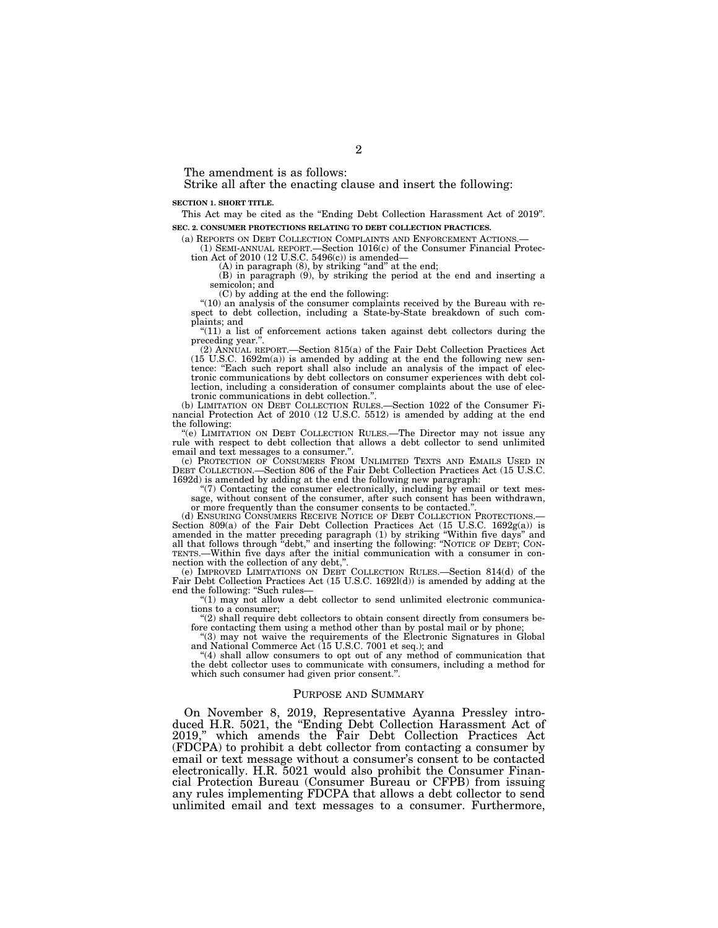The amendment is as follows:

Strike all after the enacting clause and insert the following:

#### **SECTION 1. SHORT TITLE.**

This Act may be cited as the "Ending Debt Collection Harassment Act of 2019". **SEC. 2. CONSUMER PROTECTIONS RELATING TO DEBT COLLECTION PRACTICES.** 

(a) REPORTS ON DEBT COLLECTION COMPLAINTS AND ENFORCEMENT ACTIONS.— (1) SEMI-ANNUAL REPORT.—Section 1016(c) of the Consumer Financial Protection Act of  $2010 (12 \text{ U.S.C. } 5496(c))$  is amended-

(A) in paragraph (8), by striking "and" at the end;<br>(B) in paragraph (9), by striking the period at the end and inserting a semicolon; and

(C) by adding at the end the following:

 $''(10)$  an analysis of the consumer complaints received by the Bureau with respect to debt collection, including a State-by-State breakdown of such complaints; and

 $"(11)'$  a list of enforcement actions taken against debt collectors during the preceding year.''.

(2) ANNUAL REPORT.—Section 815(a) of the Fair Debt Collection Practices Act  $(15 \text{ U.S.C. } 1692 \text{m(a)})$  is amended by adding at the end the following new sentence: ''Each such report shall also include an analysis of the impact of electronic communications by debt collectors on consumer experiences with debt collection, including a consideration of consumer complaints about the use of electronic communications in debt collection.''.

(b) LIMITATION ON DEBT COLLECTION RULES.—Section 1022 of the Consumer Financial Protection Act of 2010 (12 U.S.C. 5512) is amended by adding at the end the following:

''(e) LIMITATION ON DEBT COLLECTION RULES.—The Director may not issue any rule with respect to debt collection that allows a debt collector to send unlimited email and text messages to a consumer.'

(c) PROTECTION OF CONSUMERS FROM UNLIMITED TEXTS AND EMAILS USED IN DEBT COLLECTION.—Section 806 of the Fair Debt Collection Practices Act (15 U.S.C. 1692d) is amended by adding at the end the following new paragraph:

 $\degree$ (7) Contacting the consumer electronically, including by email or text message, without consent of the consumer, after such consent has been withdrawn, or more frequently than the consumer consents to be contacted.".<br>(d) ENSURING CONSUMERS RECEIVE NOTICE OF DEBT COLLECTION PROTECTIONS.—

Section 809(a) of the Fair Debt Collection Practices Act (15 U.S.C. 1692g(a)) is amended in the matter preceding paragraph (1) by striking "Within five days" and all that follows through "debt," and inserting the following: "NOTICE OF DEBT; CONTENTS.—Within five days after the initial communication wit nection with the collection of any debt,''.

(e) IMPROVED LIMITATIONS ON DEBT COLLECTION RULES.—Section 814(d) of the Fair Debt Collection Practices Act (15 U.S.C. 1692l(d)) is amended by adding at the end the following: ''Such rules—

 $(1)$  may not allow a debt collector to send unlimited electronic communications to a consumer;

 $(2)$  shall require debt collectors to obtain consent directly from consumers before contacting them using a method other than by postal mail or by phone;

"(3) may not waive the requirements of the Electronic Signatures in Global and National Commerce Act (15 U.S.C. 7001 et seq.); and

''(4) shall allow consumers to opt out of any method of communication that the debt collector uses to communicate with consumers, including a method for which such consumer had given prior consent."

#### PURPOSE AND SUMMARY

On November 8, 2019, Representative Ayanna Pressley introduced H.R. 5021, the ''Ending Debt Collection Harassment Act of 2019,'' which amends the Fair Debt Collection Practices Act (FDCPA) to prohibit a debt collector from contacting a consumer by email or text message without a consumer's consent to be contacted electronically. H.R. 5021 would also prohibit the Consumer Financial Protection Bureau (Consumer Bureau or CFPB) from issuing any rules implementing FDCPA that allows a debt collector to send unlimited email and text messages to a consumer. Furthermore,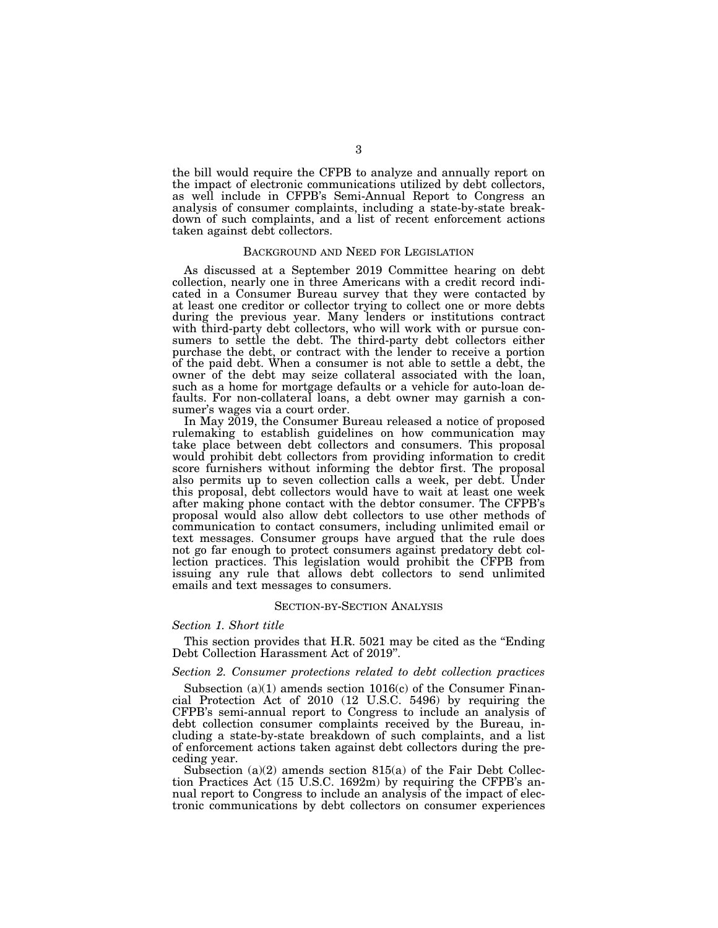the bill would require the CFPB to analyze and annually report on the impact of electronic communications utilized by debt collectors, as well include in CFPB's Semi-Annual Report to Congress an analysis of consumer complaints, including a state-by-state breakdown of such complaints, and a list of recent enforcement actions taken against debt collectors.

#### BACKGROUND AND NEED FOR LEGISLATION

As discussed at a September 2019 Committee hearing on debt collection, nearly one in three Americans with a credit record indicated in a Consumer Bureau survey that they were contacted by at least one creditor or collector trying to collect one or more debts during the previous year. Many lenders or institutions contract with third-party debt collectors, who will work with or pursue consumers to settle the debt. The third-party debt collectors either purchase the debt, or contract with the lender to receive a portion of the paid debt. When a consumer is not able to settle a debt, the owner of the debt may seize collateral associated with the loan, such as a home for mortgage defaults or a vehicle for auto-loan defaults. For non-collateral loans, a debt owner may garnish a consumer's wages via a court order.

In May 2019, the Consumer Bureau released a notice of proposed rulemaking to establish guidelines on how communication may take place between debt collectors and consumers. This proposal would prohibit debt collectors from providing information to credit score furnishers without informing the debtor first. The proposal also permits up to seven collection calls a week, per debt. Under this proposal, debt collectors would have to wait at least one week after making phone contact with the debtor consumer. The CFPB's proposal would also allow debt collectors to use other methods of communication to contact consumers, including unlimited email or text messages. Consumer groups have argued that the rule does not go far enough to protect consumers against predatory debt collection practices. This legislation would prohibit the CFPB from issuing any rule that allows debt collectors to send unlimited emails and text messages to consumers.

#### SECTION-BY-SECTION ANALYSIS

#### *Section 1. Short title*

This section provides that H.R. 5021 may be cited as the ''Ending Debt Collection Harassment Act of 2019''.

#### *Section 2. Consumer protections related to debt collection practices*

Subsection (a)(1) amends section 1016(c) of the Consumer Financial Protection Act of 2010 (12 U.S.C. 5496) by requiring the CFPB's semi-annual report to Congress to include an analysis of debt collection consumer complaints received by the Bureau, including a state-by-state breakdown of such complaints, and a list of enforcement actions taken against debt collectors during the preceding year.

Subsection  $(a)(2)$  amends section 815(a) of the Fair Debt Collection Practices Act (15 U.S.C. 1692m) by requiring the CFPB's annual report to Congress to include an analysis of the impact of electronic communications by debt collectors on consumer experiences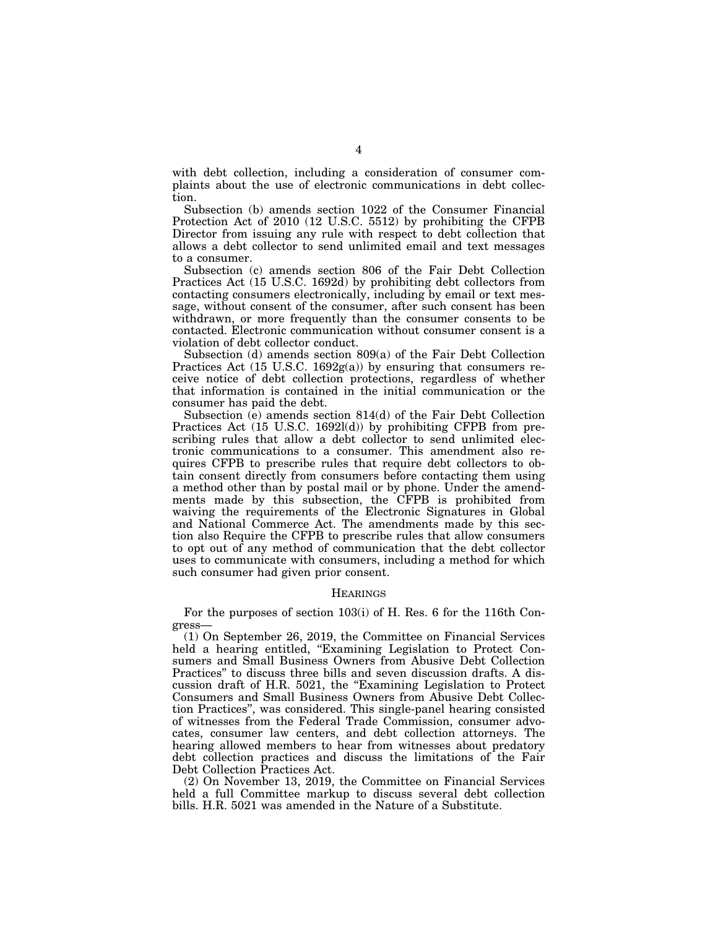with debt collection, including a consideration of consumer complaints about the use of electronic communications in debt collection.

Subsection (b) amends section 1022 of the Consumer Financial Protection Act of 2010 (12 U.S.C. 5512) by prohibiting the CFPB Director from issuing any rule with respect to debt collection that allows a debt collector to send unlimited email and text messages to a consumer.

Subsection (c) amends section 806 of the Fair Debt Collection Practices Act (15 U.S.C. 1692d) by prohibiting debt collectors from contacting consumers electronically, including by email or text message, without consent of the consumer, after such consent has been withdrawn, or more frequently than the consumer consents to be contacted. Electronic communication without consumer consent is a violation of debt collector conduct.

Subsection (d) amends section 809(a) of the Fair Debt Collection Practices Act (15 U.S.C. 1692g(a)) by ensuring that consumers receive notice of debt collection protections, regardless of whether that information is contained in the initial communication or the consumer has paid the debt.

Subsection (e) amends section 814(d) of the Fair Debt Collection Practices Act (15 U.S.C. 1692l(d)) by prohibiting CFPB from prescribing rules that allow a debt collector to send unlimited electronic communications to a consumer. This amendment also requires CFPB to prescribe rules that require debt collectors to obtain consent directly from consumers before contacting them using a method other than by postal mail or by phone. Under the amendments made by this subsection, the CFPB is prohibited from waiving the requirements of the Electronic Signatures in Global and National Commerce Act. The amendments made by this section also Require the CFPB to prescribe rules that allow consumers to opt out of any method of communication that the debt collector uses to communicate with consumers, including a method for which such consumer had given prior consent.

## **HEARINGS**

For the purposes of section 103(i) of H. Res. 6 for the 116th Congress—

(1) On September 26, 2019, the Committee on Financial Services held a hearing entitled, ''Examining Legislation to Protect Consumers and Small Business Owners from Abusive Debt Collection Practices'' to discuss three bills and seven discussion drafts. A discussion draft of H.R. 5021, the ''Examining Legislation to Protect Consumers and Small Business Owners from Abusive Debt Collection Practices'', was considered. This single-panel hearing consisted of witnesses from the Federal Trade Commission, consumer advocates, consumer law centers, and debt collection attorneys. The hearing allowed members to hear from witnesses about predatory debt collection practices and discuss the limitations of the Fair Debt Collection Practices Act.

(2) On November 13, 2019, the Committee on Financial Services held a full Committee markup to discuss several debt collection bills. H.R. 5021 was amended in the Nature of a Substitute.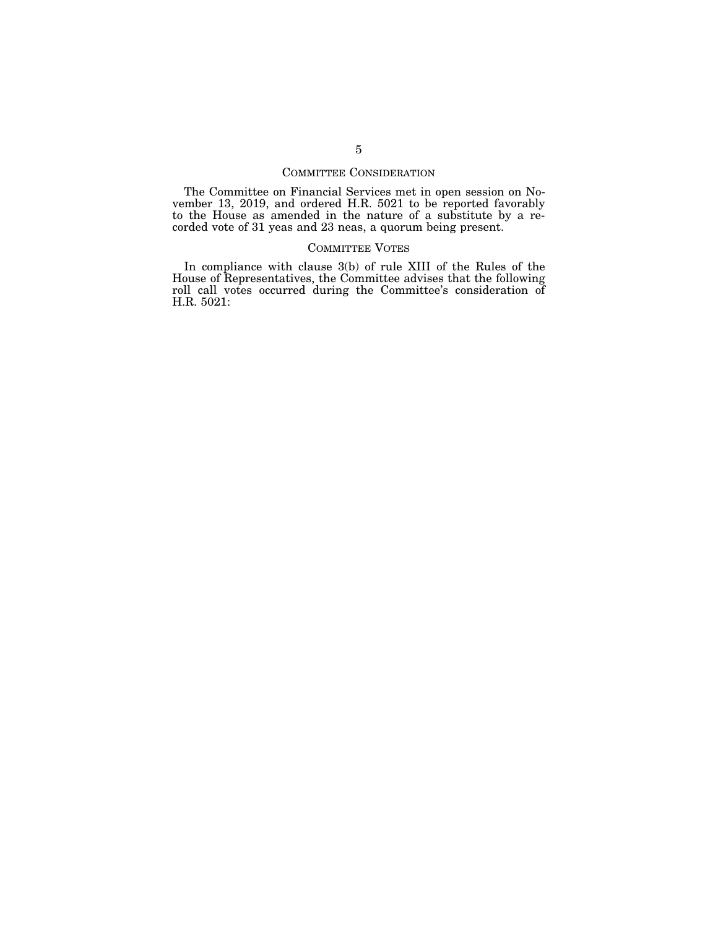## COMMITTEE CONSIDERATION

The Committee on Financial Services met in open session on November 13, 2019, and ordered H.R. 5021 to be reported favorably to the House as amended in the nature of a substitute by a recorded vote of 31 yeas and 23 neas, a quorum being present.

## COMMITTEE VOTES

In compliance with clause 3(b) of rule XIII of the Rules of the House of Representatives, the Committee advises that the following roll call votes occurred during the Committee's consideration of H.R. 5021: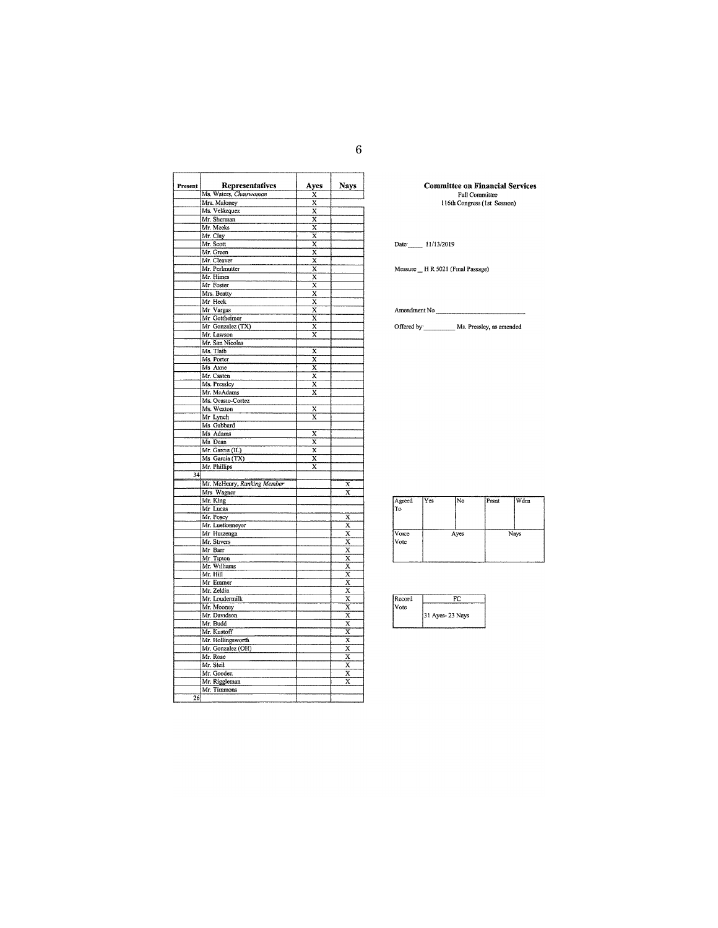| Present         | Representatives             | Ayes                    | <b>Nays</b>                  |
|-----------------|-----------------------------|-------------------------|------------------------------|
|                 | Ms. Waters, Chairwoman      | X                       |                              |
|                 | Mrs. Maloney                | $\overline{\textbf{x}}$ |                              |
|                 | Ms. Velázquez               | x                       |                              |
|                 | Mr. Sherman                 | x                       |                              |
|                 | Mr. Meeks                   | x                       |                              |
|                 | Mr. Clay                    | X                       |                              |
|                 | Mr. Scott                   | $\overline{\mathbf{x}}$ |                              |
|                 | Mr. Green                   | X                       |                              |
|                 | Mr. Cleaver                 | X                       |                              |
|                 | Mr. Perlmutter              | $\overline{\textbf{x}}$ |                              |
|                 | Mr. Himes                   | $\overline{\mathbf{x}}$ |                              |
|                 | Mr Foster                   | X                       |                              |
|                 | Mrs. Beatty                 | X                       |                              |
|                 | Mr Heck                     | X                       |                              |
|                 | Mr Vargas                   | X                       |                              |
|                 | Mr Gottheimer               | X                       |                              |
|                 | Mr Gonzalez (TX)            | X                       |                              |
|                 | Mr. Lawson                  | X                       |                              |
|                 | Mr. San Nicolas             |                         |                              |
|                 | Ms. Tlaib                   | X                       |                              |
|                 | Ms. Porter                  | X                       |                              |
|                 | Ms Axne                     | x                       |                              |
|                 | Mr. Casten                  | X                       |                              |
|                 | Ms. Pressley                | $\bar{\text{x}}$        |                              |
|                 | Mr. McAdams                 | X                       |                              |
|                 | Ms. Ocasio-Cortez           |                         |                              |
|                 | Ms. Wexton                  | $\overline{\textbf{x}}$ |                              |
|                 | Mr Lynch                    | $\overline{\mathbf{x}}$ |                              |
|                 | Ms Gabbard                  |                         |                              |
|                 | Ms Adams                    | X                       |                              |
|                 | Ms Dean                     | $\overline{\mathbf{x}}$ |                              |
|                 | Mr. Garcia (IL)             | $\overline{\textbf{x}}$ |                              |
|                 | Ms Garcia (TX)              | X                       |                              |
|                 | Mr. Phillips                | X                       |                              |
| $\overline{34}$ |                             |                         |                              |
|                 | Mr. McHenry, Ranking Member |                         | x                            |
|                 | Mrs Wagner                  |                         | $\overline{\mathbf{x}}$      |
|                 | Mr. King                    |                         |                              |
|                 | Mr Lucas                    |                         |                              |
|                 | Mr. Posey                   |                         | X                            |
|                 | Mr. Luetkemeyer             |                         | $\overline{\textbf{x}}$      |
|                 | Mr Huizenga                 |                         | $\overline{\mathrm{x}}$      |
|                 | Mr. Stivers                 |                         | X                            |
|                 | Mr Barr                     |                         | X                            |
|                 | Mr Tipton                   |                         | $\overline{\text{x}}$        |
|                 | Mr. Williams                |                         | X                            |
|                 | Mr. Hill                    |                         | $\overline{\text{x}}$        |
|                 | Mr Emmer<br>Mr. Zeldin      |                         | X<br>$\bar{\text{x}}$        |
|                 |                             |                         |                              |
|                 | Mr. Loudermilk              |                         | x                            |
|                 | Mr. Mooney                  |                         | X<br>$\overline{\mathbf{x}}$ |
|                 | Mr. Davidson                |                         | $\bar{\textbf{x}}$           |
|                 | Mr. Budd                    |                         |                              |
|                 | Mr. Kustoff                 |                         | $\overline{\mathbf{x}}$      |
|                 | Mr. Hollingsworth           |                         | $\overline{\mathbf{x}}$      |
|                 | Mr. Gonzalez (OH)           |                         | x                            |
|                 | Mr. Rose                    |                         | X                            |
|                 | Mr. Steil                   |                         | $\overline{\mathrm{x}}$      |
|                 | Mr. Gooden                  |                         | X                            |
|                 | Mr. Riggleman               |                         | X                            |
|                 | Mr. Timmons                 |                         |                              |
| $\overline{26}$ |                             |                         |                              |

**Committee on Financial Services**<br>
Full Committee<br>
116th Congress (1st Session)

## Date<sup>\*</sup> 11/13/2019

Measure \_\_ H R 5021 (Fmal Passage)

Amendment No

Offered by \_\_\_\_\_\_\_\_\_ Ms. Pressley, as amended

| Agreed<br>l To | <b>Yes</b> | lNo | Prsnt | Wdrn |
|----------------|------------|-----|-------|------|
| Voice<br>Vote  | Ayes       |     |       | Nays |

| Record |                 |  |  |
|--------|-----------------|--|--|
| Vote   |                 |  |  |
|        | 31 Ayes-23 Nays |  |  |
|        |                 |  |  |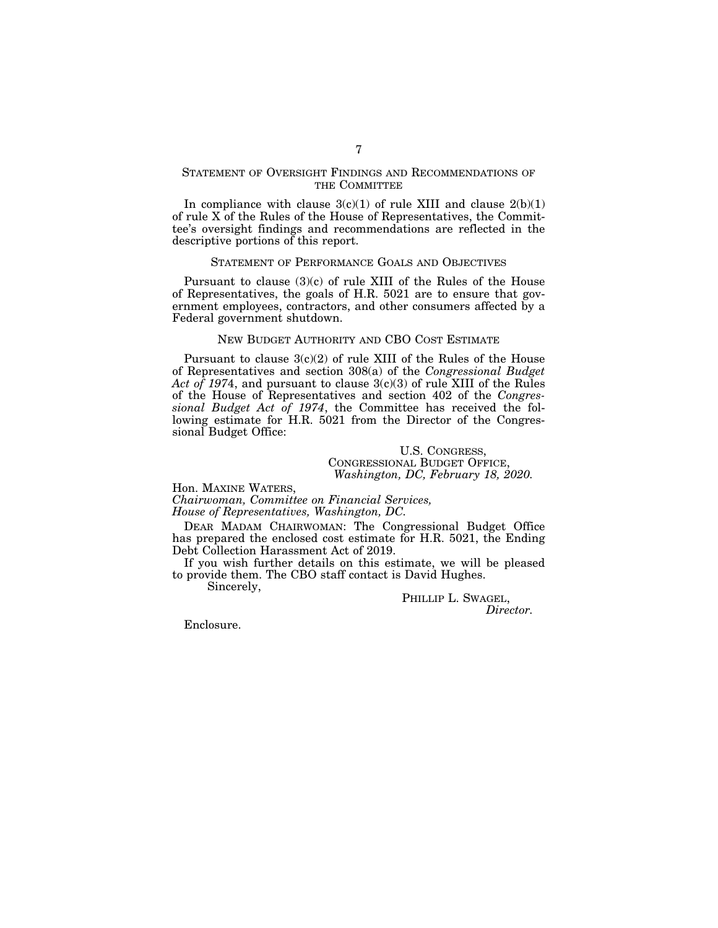## STATEMENT OF OVERSIGHT FINDINGS AND RECOMMENDATIONS OF THE COMMITTEE

In compliance with clause  $3(c)(1)$  of rule XIII and clause  $2(b)(1)$ of rule X of the Rules of the House of Representatives, the Committee's oversight findings and recommendations are reflected in the descriptive portions of this report.

#### STATEMENT OF PERFORMANCE GOALS AND OBJECTIVES

Pursuant to clause  $(3)(c)$  of rule XIII of the Rules of the House of Representatives, the goals of H.R. 5021 are to ensure that government employees, contractors, and other consumers affected by a Federal government shutdown.

### NEW BUDGET AUTHORITY AND CBO COST ESTIMATE

Pursuant to clause  $3(c)(2)$  of rule XIII of the Rules of the House of Representatives and section 308(a) of the *Congressional Budget Act of 197*4, and pursuant to clause 3(c)(3) of rule XIII of the Rules of the House of Representatives and section 402 of the *Congressional Budget Act of 1974*, the Committee has received the following estimate for H.R. 5021 from the Director of the Congressional Budget Office:

## U.S. CONGRESS, CONGRESSIONAL BUDGET OFFICE, *Washington, DC, February 18, 2020.*

Hon. MAXINE WATERS,

*Chairwoman, Committee on Financial Services, House of Representatives, Washington, DC.* 

DEAR MADAM CHAIRWOMAN: The Congressional Budget Office has prepared the enclosed cost estimate for H.R. 5021, the Ending Debt Collection Harassment Act of 2019.

If you wish further details on this estimate, we will be pleased to provide them. The CBO staff contact is David Hughes. Sincerely,

> PHILLIP L. SWAGEL, *Director.*

Enclosure.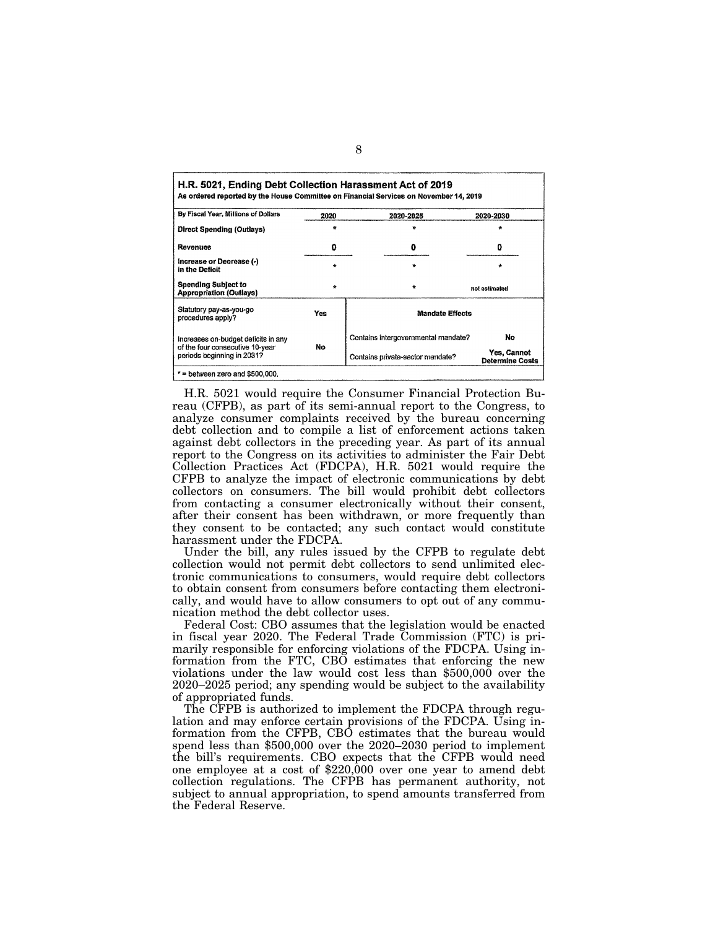| By Fiscal Year, Millions of Dollars                           | 2020 | 2020-2025                           | 2020-2030                             |  |
|---------------------------------------------------------------|------|-------------------------------------|---------------------------------------|--|
| Direct Spending (Outlays)                                     | ÷    | ÷                                   |                                       |  |
| Revenues                                                      | ٥    | o                                   | Ω                                     |  |
| Increase or Decrease (-)<br>in the Deficit                    | ÷    | ÷                                   | ÷                                     |  |
| <b>Spending Subject to</b><br><b>Appropriation (Outlays)</b>  | ÷    | ÷                                   | not estimated                         |  |
| Statutory pay-as-you-go<br>procedures apply?                  | Yes  | <b>Mandate Effects</b>              |                                       |  |
| Increases on-budget deficits in any                           |      | Contains intergovernmental mandate? | No                                    |  |
| of the four consecutive 10-year<br>periods beginning in 2031? | No   | Contains private-sector mandate?    | Yes, Cannot<br><b>Determine Costs</b> |  |

H.R. 5021 would require the Consumer Financial Protection Bureau (CFPB), as part of its semi-annual report to the Congress, to analyze consumer complaints received by the bureau concerning debt collection and to compile a list of enforcement actions taken against debt collectors in the preceding year. As part of its annual report to the Congress on its activities to administer the Fair Debt Collection Practices Act (FDCPA), H.R. 5021 would require the CFPB to analyze the impact of electronic communications by debt collectors on consumers. The bill would prohibit debt collectors from contacting a consumer electronically without their consent, after their consent has been withdrawn, or more frequently than they consent to be contacted; any such contact would constitute harassment under the FDCPA.

Under the bill, any rules issued by the CFPB to regulate debt collection would not permit debt collectors to send unlimited electronic communications to consumers, would require debt collectors to obtain consent from consumers before contacting them electronically, and would have to allow consumers to opt out of any communication method the debt collector uses.

Federal Cost: CBO assumes that the legislation would be enacted in fiscal year 2020. The Federal Trade Commission (FTC) is primarily responsible for enforcing violations of the FDCPA. Using information from the FTC, CBO estimates that enforcing the new violations under the law would cost less than \$500,000 over the 2020–2025 period; any spending would be subject to the availability of appropriated funds.

The CFPB is authorized to implement the FDCPA through regulation and may enforce certain provisions of the FDCPA. Using information from the CFPB, CBO estimates that the bureau would spend less than \$500,000 over the 2020–2030 period to implement the bill's requirements. CBO expects that the CFPB would need one employee at a cost of \$220,000 over one year to amend debt collection regulations. The CFPB has permanent authority, not subject to annual appropriation, to spend amounts transferred from the Federal Reserve.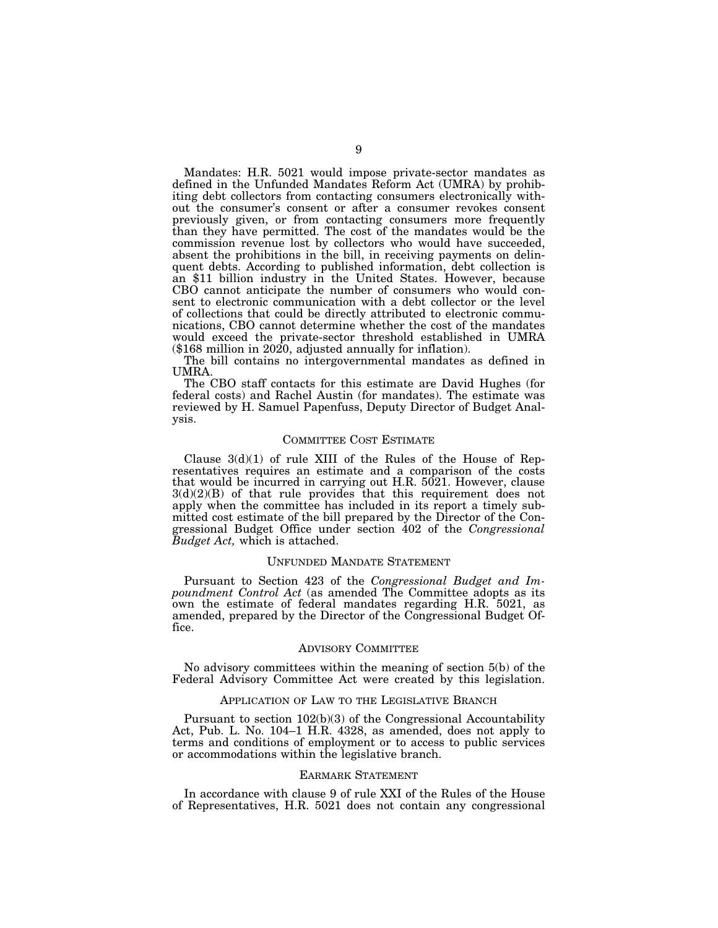Mandates: H.R. 5021 would impose private-sector mandates as defined in the Unfunded Mandates Reform Act (UMRA) by prohibiting debt collectors from contacting consumers electronically without the consumer's consent or after a consumer revokes consent previously given, or from contacting consumers more frequently than they have permitted. The cost of the mandates would be the commission revenue lost by collectors who would have succeeded, absent the prohibitions in the bill, in receiving payments on delinquent debts. According to published information, debt collection is an \$11 billion industry in the United States. However, because CBO cannot anticipate the number of consumers who would consent to electronic communication with a debt collector or the level of collections that could be directly attributed to electronic communications, CBO cannot determine whether the cost of the mandates would exceed the private-sector threshold established in UMRA (\$168 million in 2020, adjusted annually for inflation).

The bill contains no intergovernmental mandates as defined in UMRA.

The CBO staff contacts for this estimate are David Hughes (for federal costs) and Rachel Austin (for mandates). The estimate was reviewed by H. Samuel Papenfuss, Deputy Director of Budget Analysis.

## COMMITTEE COST ESTIMATE

Clause  $3(d)(1)$  of rule XIII of the Rules of the House of Representatives requires an estimate and a comparison of the costs that would be incurred in carrying out H.R. 5021. However, clause 3(d)(2)(B) of that rule provides that this requirement does not apply when the committee has included in its report a timely submitted cost estimate of the bill prepared by the Director of the Congressional Budget Office under section 402 of the *Congressional Budget Act,* which is attached.

#### UNFUNDED MANDATE STATEMENT

Pursuant to Section 423 of the *Congressional Budget and Impoundment Control Act* (as amended The Committee adopts as its own the estimate of federal mandates regarding H.R. 5021, as amended, prepared by the Director of the Congressional Budget Office.

#### ADVISORY COMMITTEE

No advisory committees within the meaning of section 5(b) of the Federal Advisory Committee Act were created by this legislation.

#### APPLICATION OF LAW TO THE LEGISLATIVE BRANCH

Pursuant to section 102(b)(3) of the Congressional Accountability Act, Pub. L. No. 104–1 H.R. 4328, as amended, does not apply to terms and conditions of employment or to access to public services or accommodations within the legislative branch.

#### EARMARK STATEMENT

In accordance with clause 9 of rule XXI of the Rules of the House of Representatives, H.R. 5021 does not contain any congressional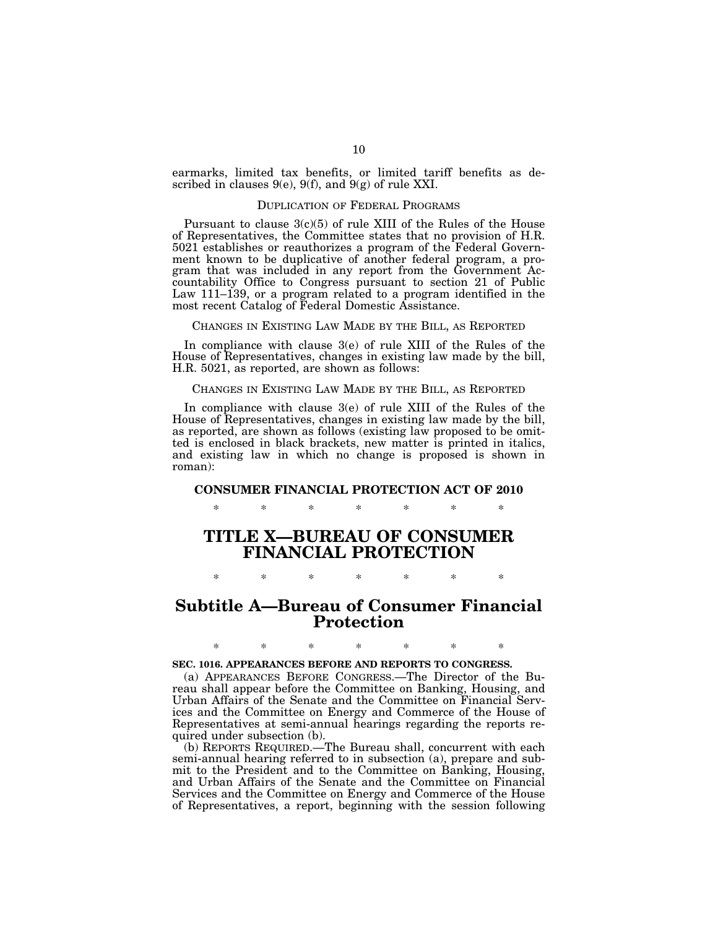earmarks, limited tax benefits, or limited tariff benefits as described in clauses  $9(e)$ ,  $9(f)$ , and  $9(g)$  of rule XXI.

## DUPLICATION OF FEDERAL PROGRAMS

Pursuant to clause 3(c)(5) of rule XIII of the Rules of the House of Representatives, the Committee states that no provision of H.R. 5021 establishes or reauthorizes a program of the Federal Government known to be duplicative of another federal program, a program that was included in any report from the Government Accountability Office to Congress pursuant to section 21 of Public Law 111–139, or a program related to a program identified in the most recent Catalog of Federal Domestic Assistance.

CHANGES IN EXISTING LAW MADE BY THE BILL, AS REPORTED

In compliance with clause 3(e) of rule XIII of the Rules of the House of Representatives, changes in existing law made by the bill, H.R. 5021, as reported, are shown as follows:

CHANGES IN EXISTING LAW MADE BY THE BILL, AS REPORTED

In compliance with clause 3(e) of rule XIII of the Rules of the House of Representatives, changes in existing law made by the bill, as reported, are shown as follows (existing law proposed to be omitted is enclosed in black brackets, new matter is printed in italics, and existing law in which no change is proposed is shown in roman):

# **CONSUMER FINANCIAL PROTECTION ACT OF 2010**  \* \* \* \* \* \* \*

# **TITLE X—BUREAU OF CONSUMER FINANCIAL PROTECTION**

**Subtitle A—Bureau of Consumer Financial Protection** 

\* \* \* \* \* \* \*

\* \* \* \* \* \* \*

## **SEC. 1016. APPEARANCES BEFORE AND REPORTS TO CONGRESS.**

(a) APPEARANCES BEFORE CONGRESS.—The Director of the Bureau shall appear before the Committee on Banking, Housing, and Urban Affairs of the Senate and the Committee on Financial Services and the Committee on Energy and Commerce of the House of Representatives at semi-annual hearings regarding the reports required under subsection (b).

(b) REPORTS REQUIRED.—The Bureau shall, concurrent with each semi-annual hearing referred to in subsection (a), prepare and submit to the President and to the Committee on Banking, Housing, and Urban Affairs of the Senate and the Committee on Financial Services and the Committee on Energy and Commerce of the House of Representatives, a report, beginning with the session following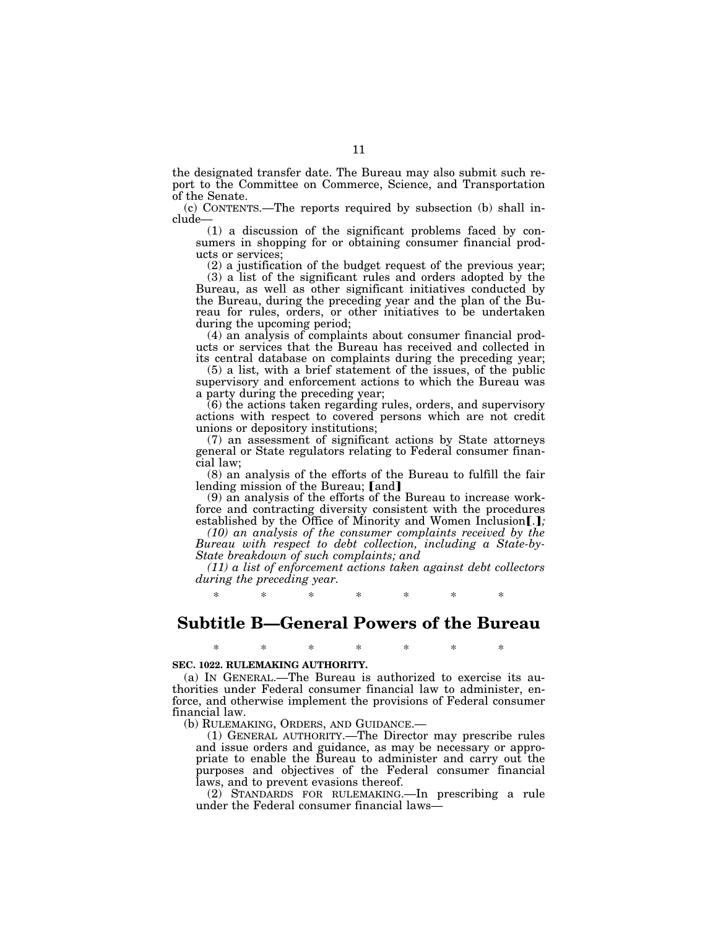the designated transfer date. The Bureau may also submit such report to the Committee on Commerce, Science, and Transportation of the Senate.

(c) CONTENTS.—The reports required by subsection (b) shall include—

(1) a discussion of the significant problems faced by consumers in shopping for or obtaining consumer financial products or services;

(2) a justification of the budget request of the previous year;

(3) a list of the significant rules and orders adopted by the Bureau, as well as other significant initiatives conducted by the Bureau, during the preceding year and the plan of the Bureau for rules, orders, or other initiatives to be undertaken during the upcoming period;

(4) an analysis of complaints about consumer financial products or services that the Bureau has received and collected in its central database on complaints during the preceding year;

(5) a list, with a brief statement of the issues, of the public supervisory and enforcement actions to which the Bureau was a party during the preceding year;

(6) the actions taken regarding rules, orders, and supervisory actions with respect to covered persons which are not credit unions or depository institutions;

(7) an assessment of significant actions by State attorneys general or State regulators relating to Federal consumer financial law;

(8) an analysis of the efforts of the Bureau to fulfill the fair lending mission of the Bureau; [and]

(9) an analysis of the efforts of the Bureau to increase workforce and contracting diversity consistent with the procedures established by the Office of Minority and Women Inclusion[.];

*(10) an analysis of the consumer complaints received by the Bureau with respect to debt collection, including a State-by-State breakdown of such complaints; and* 

*(11) a list of enforcement actions taken against debt collectors during the preceding year.* 

\* \* \* \* \* \* \*

# **Subtitle B—General Powers of the Bureau**

# \* \* \* \* \* \* \*

## **SEC. 1022. RULEMAKING AUTHORITY.**

(a) IN GENERAL.—The Bureau is authorized to exercise its authorities under Federal consumer financial law to administer, enforce, and otherwise implement the provisions of Federal consumer financial law.<br>(b) RULEMAKING, ORDERS, AND GUIDANCE.—

(1) GENERAL AUTHORITY.—The Director may prescribe rules and issue orders and guidance, as may be necessary or appropriate to enable the Bureau to administer and carry out the purposes and objectives of the Federal consumer financial laws, and to prevent evasions thereof.

(2) STANDARDS FOR RULEMAKING.—In prescribing a rule under the Federal consumer financial laws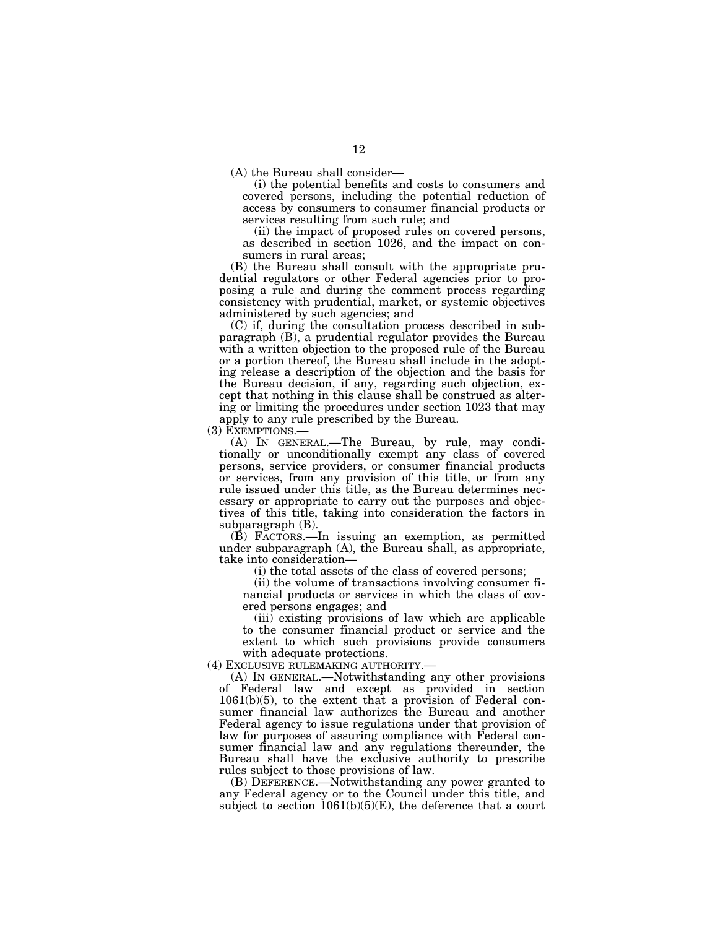(A) the Bureau shall consider—

(i) the potential benefits and costs to consumers and covered persons, including the potential reduction of access by consumers to consumer financial products or services resulting from such rule; and

(ii) the impact of proposed rules on covered persons, as described in section 1026, and the impact on consumers in rural areas;

(B) the Bureau shall consult with the appropriate prudential regulators or other Federal agencies prior to proposing a rule and during the comment process regarding consistency with prudential, market, or systemic objectives administered by such agencies; and

(C) if, during the consultation process described in subparagraph (B), a prudential regulator provides the Bureau with a written objection to the proposed rule of the Bureau or a portion thereof, the Bureau shall include in the adopting release a description of the objection and the basis for the Bureau decision, if any, regarding such objection, except that nothing in this clause shall be construed as altering or limiting the procedures under section 1023 that may apply to any rule prescribed by the Bureau.<br>(3) EXEMPTIONS.—

 $(A)$  In GENERAL.—The Bureau, by rule, may conditionally or unconditionally exempt any class of covered persons, service providers, or consumer financial products or services, from any provision of this title, or from any rule issued under this title, as the Bureau determines necessary or appropriate to carry out the purposes and objectives of this title, taking into consideration the factors in subparagraph (B).

(B) FACTORS.—In issuing an exemption, as permitted under subparagraph (A), the Bureau shall, as appropriate, take into consideration—

(i) the total assets of the class of covered persons;

(ii) the volume of transactions involving consumer financial products or services in which the class of covered persons engages; and

(iii) existing provisions of law which are applicable to the consumer financial product or service and the extent to which such provisions provide consumers with adequate protections.

(4) EXCLUSIVE RULEMAKING AUTHORITY.—

(A) IN GENERAL.—Notwithstanding any other provisions of Federal law and except as provided in section 1061(b)(5), to the extent that a provision of Federal consumer financial law authorizes the Bureau and another Federal agency to issue regulations under that provision of law for purposes of assuring compliance with Federal consumer financial law and any regulations thereunder, the Bureau shall have the exclusive authority to prescribe rules subject to those provisions of law.

(B) DEFERENCE.—Notwithstanding any power granted to any Federal agency or to the Council under this title, and subject to section  $1061(b)(5)(E)$ , the deference that a court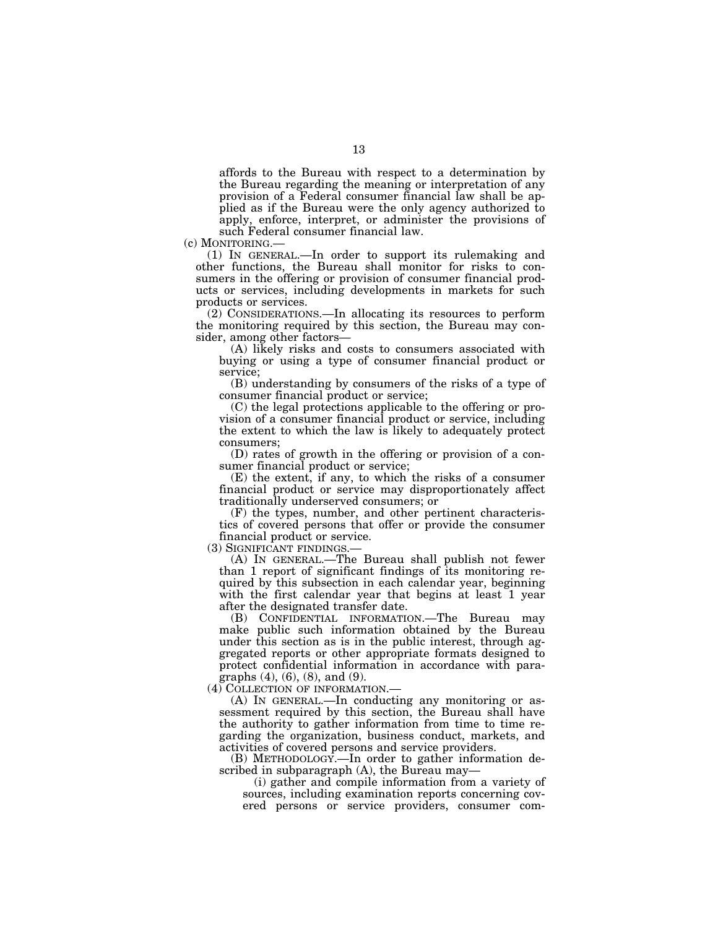affords to the Bureau with respect to a determination by the Bureau regarding the meaning or interpretation of any provision of a Federal consumer financial law shall be applied as if the Bureau were the only agency authorized to apply, enforce, interpret, or administer the provisions of such Federal consumer financial law.<br>(c) MONITORING.—

 $(1)$  In GENERAL.—In order to support its rulemaking and other functions, the Bureau shall monitor for risks to consumers in the offering or provision of consumer financial products or services, including developments in markets for such products or services.

(2) CONSIDERATIONS.—In allocating its resources to perform the monitoring required by this section, the Bureau may consider, among other factors—

(A) likely risks and costs to consumers associated with buying or using a type of consumer financial product or service;

(B) understanding by consumers of the risks of a type of consumer financial product or service;

(C) the legal protections applicable to the offering or provision of a consumer financial product or service, including the extent to which the law is likely to adequately protect consumers;

(D) rates of growth in the offering or provision of a consumer financial product or service;

(E) the extent, if any, to which the risks of a consumer financial product or service may disproportionately affect traditionally underserved consumers; or

(F) the types, number, and other pertinent characteristics of covered persons that offer or provide the consumer financial product or service.<br>(3) SIGNIFICANT FINDINGS.—

 $(A)$  In GENERAL.—The Bureau shall publish not fewer than 1 report of significant findings of its monitoring required by this subsection in each calendar year, beginning with the first calendar year that begins at least 1 year after the designated transfer date.

(B) CONFIDENTIAL INFORMATION.—The Bureau may make public such information obtained by the Bureau under this section as is in the public interest, through aggregated reports or other appropriate formats designed to protect confidential information in accordance with paragraphs (4), (6), (8), and (9).

(4) COLLECTION OF INFORMATION.—

(A) IN GENERAL.—In conducting any monitoring or assessment required by this section, the Bureau shall have the authority to gather information from time to time regarding the organization, business conduct, markets, and activities of covered persons and service providers.

(B) METHODOLOGY.—In order to gather information described in subparagraph (A), the Bureau may—

(i) gather and compile information from a variety of sources, including examination reports concerning covered persons or service providers, consumer com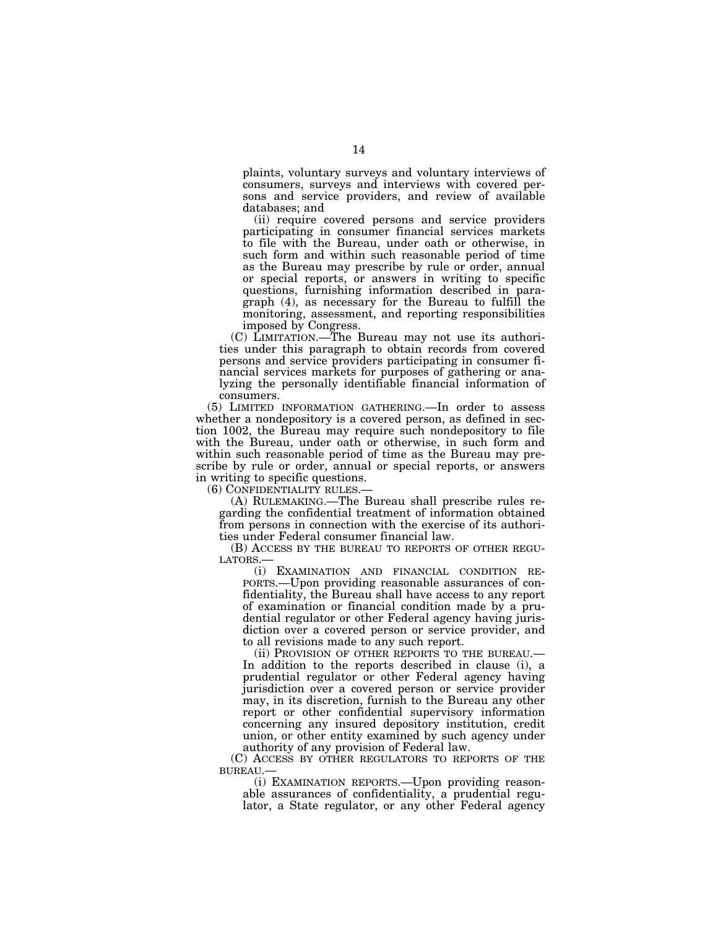plaints, voluntary surveys and voluntary interviews of consumers, surveys and interviews with covered persons and service providers, and review of available databases; and

(ii) require covered persons and service providers participating in consumer financial services markets to file with the Bureau, under oath or otherwise, in such form and within such reasonable period of time as the Bureau may prescribe by rule or order, annual or special reports, or answers in writing to specific questions, furnishing information described in paragraph (4), as necessary for the Bureau to fulfill the monitoring, assessment, and reporting responsibilities imposed by Congress.

(C) LIMITATION.—The Bureau may not use its authorities under this paragraph to obtain records from covered persons and service providers participating in consumer financial services markets for purposes of gathering or analyzing the personally identifiable financial information of consumers.

(5) LIMITED INFORMATION GATHERING.—In order to assess whether a nondepository is a covered person, as defined in section 1002, the Bureau may require such nondepository to file with the Bureau, under oath or otherwise, in such form and within such reasonable period of time as the Bureau may prescribe by rule or order, annual or special reports, or answers in writing to specific questions.<br>(6) CONFIDENTIALITY RULES.

(A) RULEMAKING.—The Bureau shall prescribe rules regarding the confidential treatment of information obtained from persons in connection with the exercise of its authorities under Federal consumer financial law.

(B) ACCESS BY THE BUREAU TO REPORTS OF OTHER REGULATORS.—<br>(i) EXAMINATION AND FINANCIAL CONDITION RE-

FORTS.—Upon providing reasonable assurances of confidentiality, the Bureau shall have access to any report of examination or financial condition made by a prudential regulator or other Federal agency having jurisdiction over a covered person or service provider, and to all revisions made to any such report.

(ii) PROVISION OF OTHER REPORTS TO THE BUREAU.— In addition to the reports described in clause (i), a prudential regulator or other Federal agency having jurisdiction over a covered person or service provider may, in its discretion, furnish to the Bureau any other report or other confidential supervisory information concerning any insured depository institution, credit union, or other entity examined by such agency under authority of any provision of Federal law.

(C) ACCESS BY OTHER REGULATORS TO REPORTS OF THE BUREAU.—

(i) EXAMINATION REPORTS.—Upon providing reasonable assurances of confidentiality, a prudential regulator, a State regulator, or any other Federal agency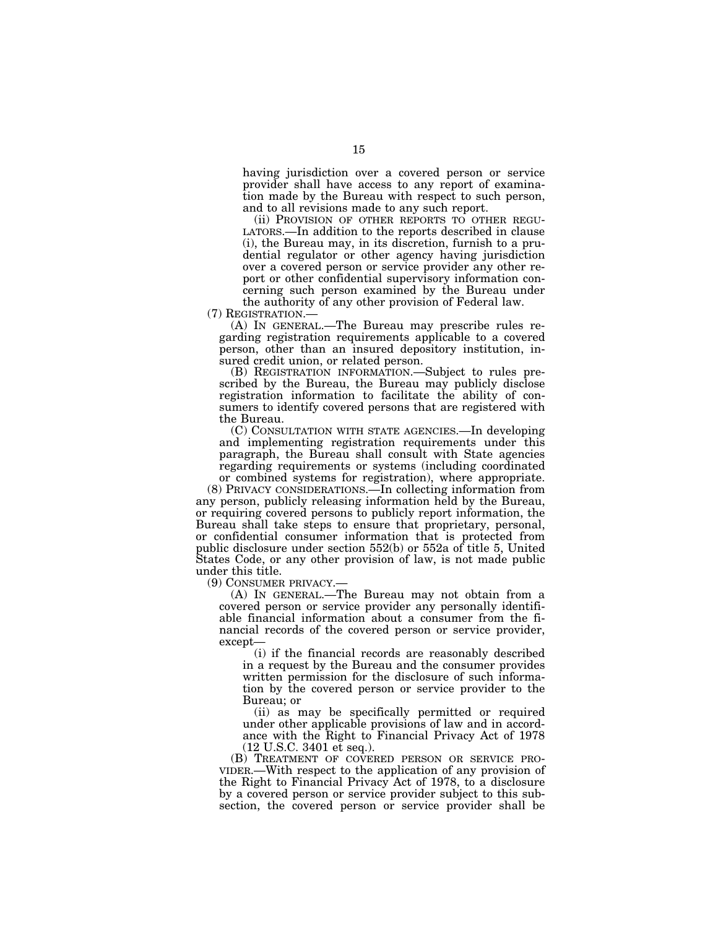having jurisdiction over a covered person or service provider shall have access to any report of examination made by the Bureau with respect to such person, and to all revisions made to any such report.<br>(ii) PROVISION OF OTHER REPORTS TO OTHER REGU-

LATORS.—In addition to the reports described in clause (i), the Bureau may, in its discretion, furnish to a prudential regulator or other agency having jurisdiction over a covered person or service provider any other report or other confidential supervisory information concerning such person examined by the Bureau under

the authority of any other provision of Federal law.

(7) REGISTRATION.—

(A) IN GENERAL.—The Bureau may prescribe rules regarding registration requirements applicable to a covered person, other than an insured depository institution, insured credit union, or related person.

(B) REGISTRATION INFORMATION.—Subject to rules prescribed by the Bureau, the Bureau may publicly disclose registration information to facilitate the ability of consumers to identify covered persons that are registered with the Bureau.

(C) CONSULTATION WITH STATE AGENCIES.—In developing and implementing registration requirements under this paragraph, the Bureau shall consult with State agencies regarding requirements or systems (including coordinated or combined systems for registration), where appropriate.

(8) PRIVACY CONSIDERATIONS.—In collecting information from any person, publicly releasing information held by the Bureau, or requiring covered persons to publicly report information, the Bureau shall take steps to ensure that proprietary, personal, or confidential consumer information that is protected from public disclosure under section 552(b) or 552a of title 5, United States Code, or any other provision of law, is not made public under this title.

(9) CONSUMER PRIVACY.— (A) IN GENERAL.—The Bureau may not obtain from a covered person or service provider any personally identifiable financial information about a consumer from the financial records of the covered person or service provider, except—

(i) if the financial records are reasonably described in a request by the Bureau and the consumer provides written permission for the disclosure of such information by the covered person or service provider to the Bureau; or

(ii) as may be specifically permitted or required under other applicable provisions of law and in accordance with the Right to Financial Privacy Act of 1978 (12 U.S.C. 3401 et seq.).

(B) TREATMENT OF COVERED PERSON OR SERVICE PRO- VIDER.—With respect to the application of any provision of the Right to Financial Privacy Act of 1978, to a disclosure by a covered person or service provider subject to this subsection, the covered person or service provider shall be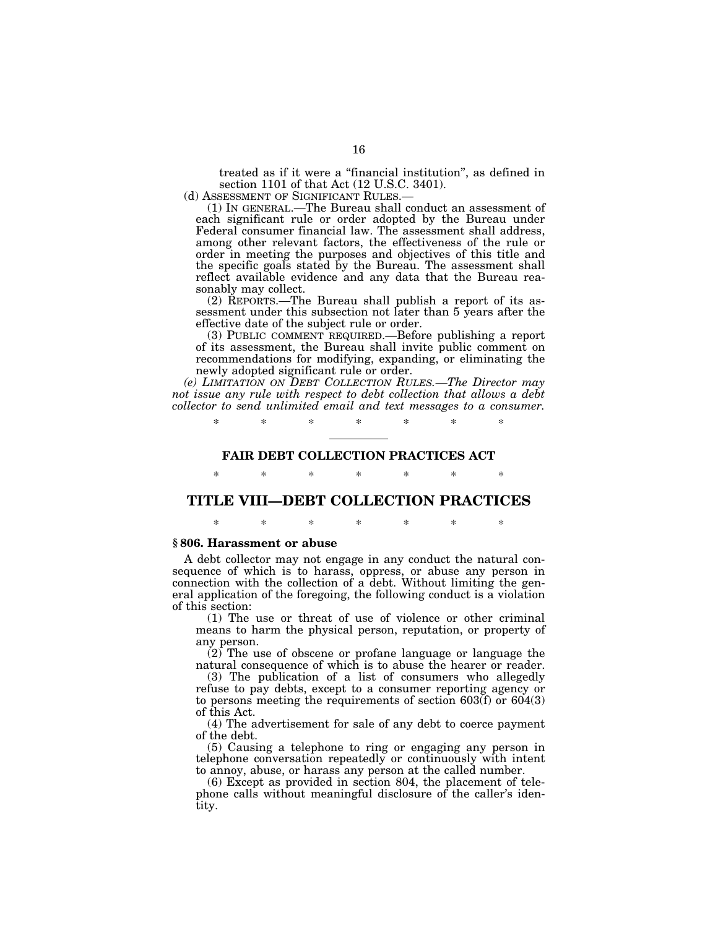treated as if it were a ''financial institution'', as defined in section 1101 of that Act (12 U.S.C. 3401).

(d) ASSESSMENT OF SIGNIFICANT RULES.— (1) IN GENERAL.—The Bureau shall conduct an assessment of each significant rule or order adopted by the Bureau under Federal consumer financial law. The assessment shall address, among other relevant factors, the effectiveness of the rule or order in meeting the purposes and objectives of this title and the specific goals stated by the Bureau. The assessment shall reflect available evidence and any data that the Bureau reasonably may collect.

(2) REPORTS.—The Bureau shall publish a report of its assessment under this subsection not later than 5 years after the effective date of the subject rule or order.

(3) PUBLIC COMMENT REQUIRED.—Before publishing a report of its assessment, the Bureau shall invite public comment on recommendations for modifying, expanding, or eliminating the newly adopted significant rule or order.

*(e) LIMITATION ON DEBT COLLECTION RULES.—The Director may not issue any rule with respect to debt collection that allows a debt collector to send unlimited email and text messages to a consumer.* 

\* \* \* \* \* \* \*

#### **FAIR DEBT COLLECTION PRACTICES ACT**

## \* \* \* \* \* \* \*

# **TITLE VIII—DEBT COLLECTION PRACTICES**

\* \* \* \* \* \* \*

#### **§ 806. Harassment or abuse**

A debt collector may not engage in any conduct the natural consequence of which is to harass, oppress, or abuse any person in connection with the collection of a debt. Without limiting the general application of the foregoing, the following conduct is a violation of this section:

(1) The use or threat of use of violence or other criminal means to harm the physical person, reputation, or property of any person.

 $(2)$  The use of obscene or profane language or language the natural consequence of which is to abuse the hearer or reader.

(3) The publication of a list of consumers who allegedly refuse to pay debts, except to a consumer reporting agency or to persons meeting the requirements of section 603(f) or 604(3) of this Act.

(4) The advertisement for sale of any debt to coerce payment of the debt.

(5) Causing a telephone to ring or engaging any person in telephone conversation repeatedly or continuously with intent to annoy, abuse, or harass any person at the called number.

(6) Except as provided in section 804, the placement of telephone calls without meaningful disclosure of the caller's identity.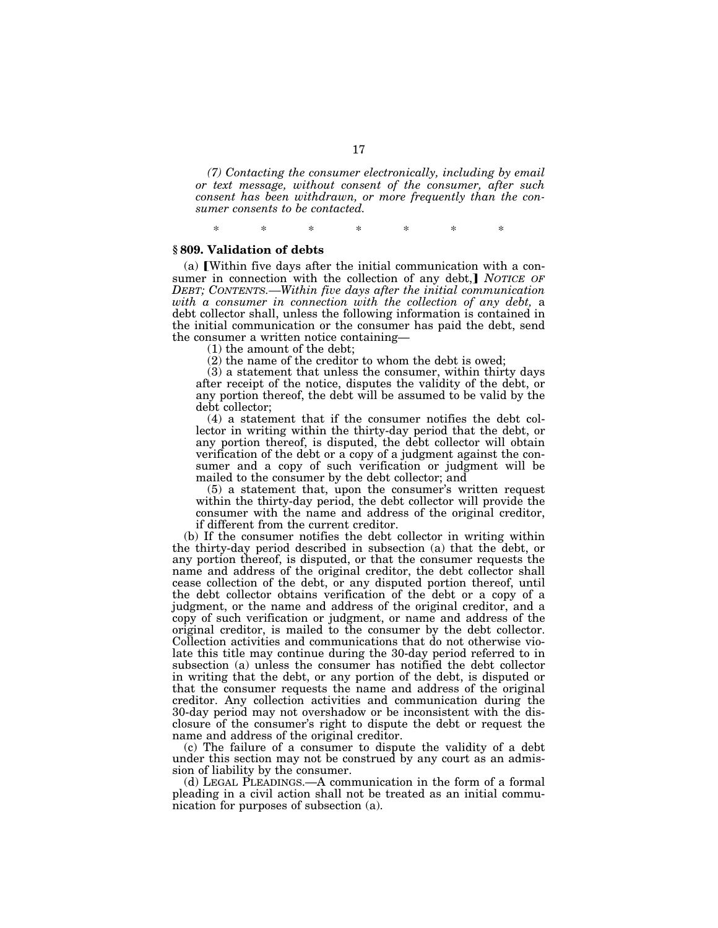*(7) Contacting the consumer electronically, including by email or text message, without consent of the consumer, after such consent has been withdrawn, or more frequently than the consumer consents to be contacted.* 

\* \* \* \* \* \* \*

## **§ 809. Validation of debts**

(a) Within five days after the initial communication with a consumer in connection with the collection of any debt, *NOTICE OF DEBT; CONTENTS.—Within five days after the initial communication with a consumer in connection with the collection of any debt,* a debt collector shall, unless the following information is contained in the initial communication or the consumer has paid the debt, send the consumer a written notice containing—

(1) the amount of the debt;

(2) the name of the creditor to whom the debt is owed;

(3) a statement that unless the consumer, within thirty days after receipt of the notice, disputes the validity of the debt, or any portion thereof, the debt will be assumed to be valid by the debt collector;

(4) a statement that if the consumer notifies the debt collector in writing within the thirty-day period that the debt, or any portion thereof, is disputed, the debt collector will obtain verification of the debt or a copy of a judgment against the consumer and a copy of such verification or judgment will be mailed to the consumer by the debt collector; and

(5) a statement that, upon the consumer's written request within the thirty-day period, the debt collector will provide the consumer with the name and address of the original creditor, if different from the current creditor.

(b) If the consumer notifies the debt collector in writing within the thirty-day period described in subsection (a) that the debt, or any portion thereof, is disputed, or that the consumer requests the name and address of the original creditor, the debt collector shall cease collection of the debt, or any disputed portion thereof, until the debt collector obtains verification of the debt or a copy of a judgment, or the name and address of the original creditor, and a copy of such verification or judgment, or name and address of the original creditor, is mailed to the consumer by the debt collector. Collection activities and communications that do not otherwise violate this title may continue during the 30-day period referred to in subsection (a) unless the consumer has notified the debt collector in writing that the debt, or any portion of the debt, is disputed or that the consumer requests the name and address of the original creditor. Any collection activities and communication during the 30-day period may not overshadow or be inconsistent with the disclosure of the consumer's right to dispute the debt or request the name and address of the original creditor.

(c) The failure of a consumer to dispute the validity of a debt under this section may not be construed by any court as an admission of liability by the consumer.

(d) LEGAL PLEADINGS.—A communication in the form of a formal pleading in a civil action shall not be treated as an initial communication for purposes of subsection (a).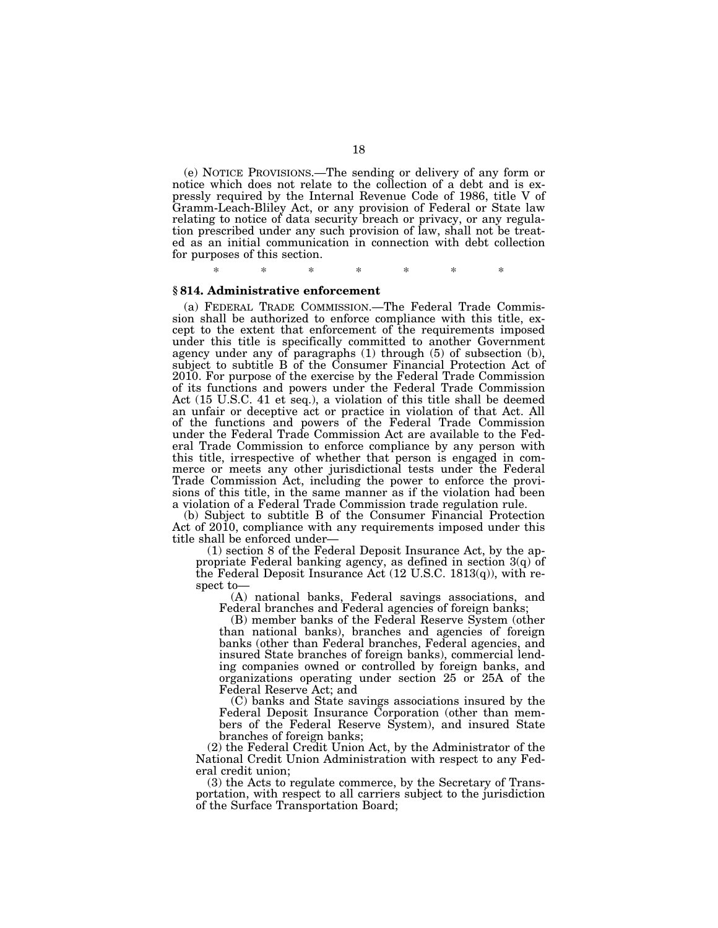(e) NOTICE PROVISIONS.—The sending or delivery of any form or notice which does not relate to the collection of a debt and is expressly required by the Internal Revenue Code of 1986, title V of Gramm-Leach-Bliley Act, or any provision of Federal or State law relating to notice of data security breach or privacy, or any regulation prescribed under any such provision of law, shall not be treated as an initial communication in connection with debt collection for purposes of this section.

\* \* \* \* \* \* \*

## **§ 814. Administrative enforcement**

(a) FEDERAL TRADE COMMISSION.—The Federal Trade Commission shall be authorized to enforce compliance with this title, except to the extent that enforcement of the requirements imposed under this title is specifically committed to another Government agency under any of paragraphs (1) through (5) of subsection (b), subject to subtitle B of the Consumer Financial Protection Act of 2010. For purpose of the exercise by the Federal Trade Commission of its functions and powers under the Federal Trade Commission Act (15 U.S.C. 41 et seq.), a violation of this title shall be deemed an unfair or deceptive act or practice in violation of that Act. All of the functions and powers of the Federal Trade Commission under the Federal Trade Commission Act are available to the Federal Trade Commission to enforce compliance by any person with this title, irrespective of whether that person is engaged in commerce or meets any other jurisdictional tests under the Federal Trade Commission Act, including the power to enforce the provisions of this title, in the same manner as if the violation had been a violation of a Federal Trade Commission trade regulation rule.

(b) Subject to subtitle B of the Consumer Financial Protection Act of 2010, compliance with any requirements imposed under this title shall be enforced under—

(1) section 8 of the Federal Deposit Insurance Act, by the appropriate Federal banking agency, as defined in section 3(q) of the Federal Deposit Insurance Act (12 U.S.C. 1813(q)), with respect to—

(A) national banks, Federal savings associations, and Federal branches and Federal agencies of foreign banks;

(B) member banks of the Federal Reserve System (other than national banks), branches and agencies of foreign banks (other than Federal branches, Federal agencies, and insured State branches of foreign banks), commercial lending companies owned or controlled by foreign banks, and organizations operating under section 25 or 25A of the Federal Reserve Act; and

(C) banks and State savings associations insured by the Federal Deposit Insurance Corporation (other than members of the Federal Reserve System), and insured State branches of foreign banks;

(2) the Federal Credit Union Act, by the Administrator of the National Credit Union Administration with respect to any Federal credit union;

(3) the Acts to regulate commerce, by the Secretary of Transportation, with respect to all carriers subject to the jurisdiction of the Surface Transportation Board;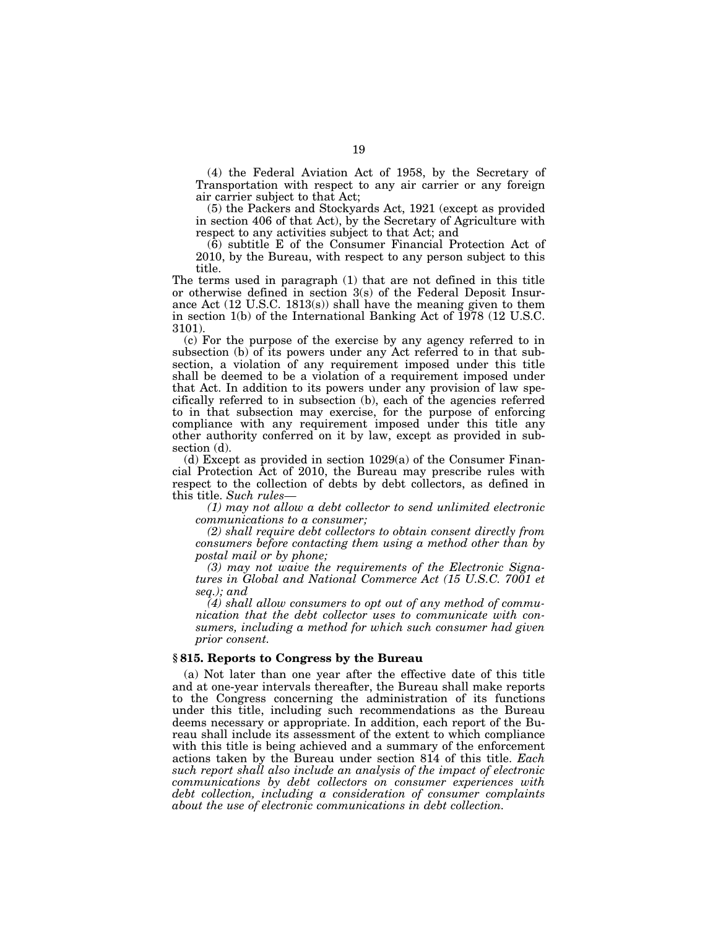(4) the Federal Aviation Act of 1958, by the Secretary of Transportation with respect to any air carrier or any foreign air carrier subject to that Act;

(5) the Packers and Stockyards Act, 1921 (except as provided in section 406 of that Act), by the Secretary of Agriculture with respect to any activities subject to that Act; and

(6) subtitle E of the Consumer Financial Protection Act of 2010, by the Bureau, with respect to any person subject to this title.

The terms used in paragraph (1) that are not defined in this title or otherwise defined in section 3(s) of the Federal Deposit Insurance Act (12 U.S.C. 1813(s)) shall have the meaning given to them in section 1(b) of the International Banking Act of 1978 (12 U.S.C. 3101).

(c) For the purpose of the exercise by any agency referred to in subsection (b) of its powers under any Act referred to in that subsection, a violation of any requirement imposed under this title shall be deemed to be a violation of a requirement imposed under that Act. In addition to its powers under any provision of law specifically referred to in subsection (b), each of the agencies referred to in that subsection may exercise, for the purpose of enforcing compliance with any requirement imposed under this title any other authority conferred on it by law, except as provided in subsection (d).

(d) Except as provided in section 1029(a) of the Consumer Financial Protection Act of 2010, the Bureau may prescribe rules with respect to the collection of debts by debt collectors, as defined in this title. *Such rules—* 

*(1) may not allow a debt collector to send unlimited electronic communications to a consumer;* 

*(2) shall require debt collectors to obtain consent directly from consumers before contacting them using a method other than by postal mail or by phone;* 

*(3) may not waive the requirements of the Electronic Signatures in Global and National Commerce Act (15 U.S.C. 7001 et seq.); and* 

*(4) shall allow consumers to opt out of any method of communication that the debt collector uses to communicate with consumers, including a method for which such consumer had given prior consent.* 

### **§ 815. Reports to Congress by the Bureau**

(a) Not later than one year after the effective date of this title and at one-year intervals thereafter, the Bureau shall make reports to the Congress concerning the administration of its functions under this title, including such recommendations as the Bureau deems necessary or appropriate. In addition, each report of the Bureau shall include its assessment of the extent to which compliance with this title is being achieved and a summary of the enforcement actions taken by the Bureau under section 814 of this title. *Each such report shall also include an analysis of the impact of electronic communications by debt collectors on consumer experiences with debt collection, including a consideration of consumer complaints about the use of electronic communications in debt collection.*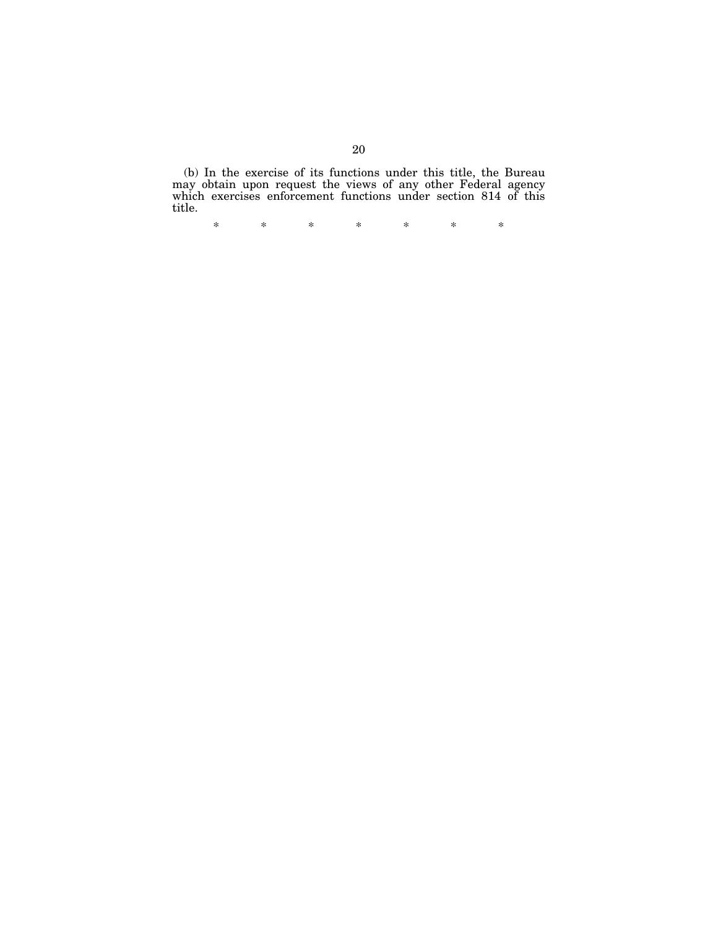(b) In the exercise of its functions under this title, the Bureau may obtain upon request the views of any other Federal agency which exercises enforcement functions under section 814 of this title.

\* \* \* \* \* \* \*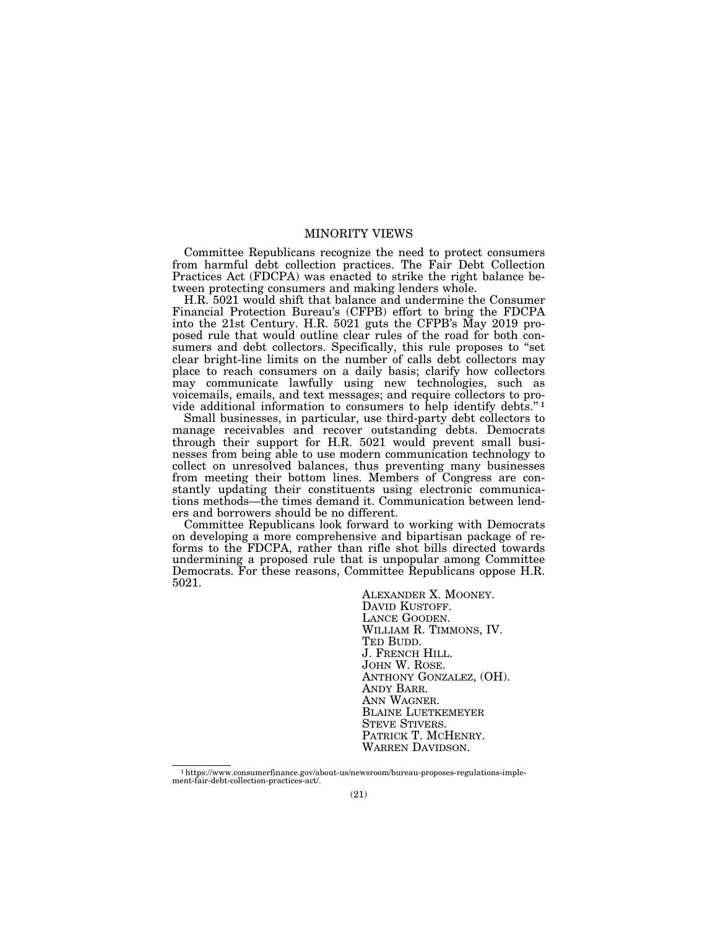## MINORITY VIEWS

Committee Republicans recognize the need to protect consumers from harmful debt collection practices. The Fair Debt Collection Practices Act (FDCPA) was enacted to strike the right balance between protecting consumers and making lenders whole.

H.R. 5021 would shift that balance and undermine the Consumer Financial Protection Bureau's (CFPB) effort to bring the FDCPA into the 21st Century. H.R. 5021 guts the CFPB's May 2019 proposed rule that would outline clear rules of the road for both consumers and debt collectors. Specifically, this rule proposes to "set clear bright-line limits on the number of calls debt collectors may place to reach consumers on a daily basis; clarify how collectors may communicate lawfully using new technologies, such as voicemails, emails, and text messages; and require collectors to provide additional information to consumers to help identify debts.'' 1

Small businesses, in particular, use third-party debt collectors to manage receivables and recover outstanding debts. Democrats through their support for H.R. 5021 would prevent small businesses from being able to use modern communication technology to collect on unresolved balances, thus preventing many businesses from meeting their bottom lines. Members of Congress are constantly updating their constituents using electronic communications methods—the times demand it. Communication between lenders and borrowers should be no different.

Committee Republicans look forward to working with Democrats on developing a more comprehensive and bipartisan package of reforms to the FDCPA, rather than rifle shot bills directed towards undermining a proposed rule that is unpopular among Committee Democrats. For these reasons, Committee Republicans oppose H.R. 5021.

ALEXANDER X. MOONEY. DAVID KUSTOFF. LANCE GOODEN. WILLIAM R. TIMMONS, IV.<br>TED BUDD. J. FRENCH HILL.<br>JOHN W. ROSE.<br>ANTHONY GONZALEZ, (OH). ANDY BARR. ANN WAGNER. BLAINE LUETKEMEYER STEVE STIVERS. PATRICK T. MCHENRY. WARREN DAVIDSON.

<sup>1</sup>https://www.consumerfinance.gov/about-us/newsroom/bureau-proposes-regulations-implement-fair-debt-collection-practices-act/.